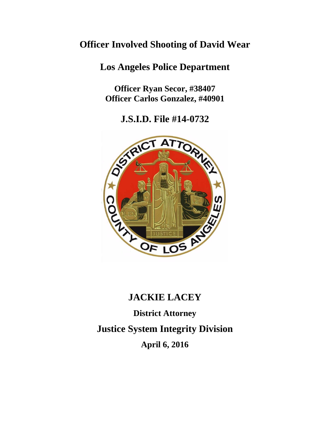# **Officer Involved Shooting of David Wear**

# **Los Angeles Police Department**

**Officer Ryan Secor, #38407 Officer Carlos Gonzalez, #40901** 

**J.S.I.D. File #14-0732**



# **JACKIE LACEY District Attorney Justice System Integrity Division April 6, 2016**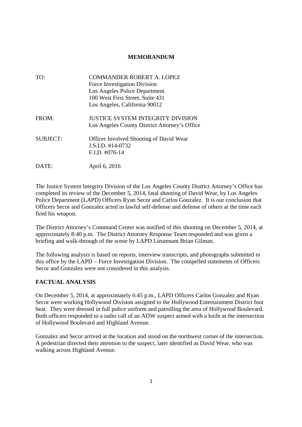#### **MEMORANDUM**

| TO:             | COMMANDER ROBERT A. LOPEZ                     |
|-----------------|-----------------------------------------------|
|                 | Force Investigation Division                  |
|                 | Los Angeles Police Department                 |
|                 | 100 West First Street, Suite 431              |
|                 | Los Angeles, California 90012                 |
| FROM:           | <b>JUSTICE SYSTEM INTEGRITY DIVISION</b>      |
|                 | Los Angeles County District Attorney's Office |
| <b>SUBJECT:</b> | Officer Involved Shooting of David Wear       |
|                 | $J.S.I.D. #14-0732$                           |
|                 | $F.I.D. #076-14$                              |
| DATE:           | April 6, 2016                                 |

The Justice System Integrity Division of the Los Angeles County District Attorney's Office has completed its review of the December 5, 2014, fatal shooting of David Wear, by Los Angeles Police Department (LAPD) Officers Ryan Secor and Carlos Gonzalez. It is our conclusion that Officers Secor and Gonzalez acted in lawful self-defense and defense of others at the time each fired his weapon.

The District Attorney's Command Center was notified of this shooting on December 5, 2014, at approximately 8:40 p.m. The District Attorney Response Team responded and was given a briefing and walk-through of the scene by LAPD Lieutenant Brian Gilman.

The following analysis is based on reports, interview transcripts, and photographs submitted to this office by the LAPD – Force Investigation Division. The compelled statements of Officers Secor and Gonzalez were not considered in this analysis.

## **FACTUAL ANALYSIS**

On December 5, 2014, at approximately 6:45 p.m., LAPD Officers Carlos Gonzalez and Ryan Secor were working Hollywood Division assigned to the Hollywood Entertainment District foot beat. They were dressed in full police uniform and patrolling the area of Hollywood Boulevard. Both officers responded to a radio call of an ADW suspect armed with a knife at the intersection of Hollywood Boulevard and Highland Avenue.

Gonzalez and Secor arrived at the location and stood on the northwest corner of the intersection. A pedestrian directed their attention to the suspect, later identified as David Wear, who was walking across Highland Avenue.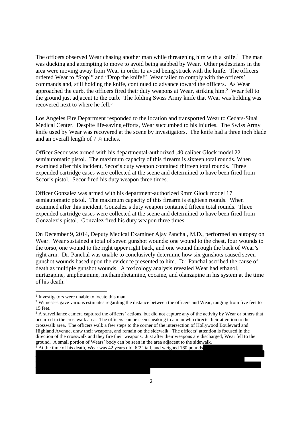The officers observed Wear chasing another man while threatening him with a knife.<sup>1</sup> The man was ducking and attempting to move to avoid being stabbed by Wear. Other pedestrians in the area were moving away from Wear in order to avoid being struck with the knife. The officers ordered Wear to "Stop!" and "Drop the knife!" Wear failed to comply with the officers' commands and, still holding the knife, continued to advance toward the officers. As Wear approached the curb, the officers fired their duty weapons at Wear, striking him.<sup>2</sup> Wear fell to the ground just adjacent to the curb. The folding Swiss Army knife that Wear was holding was recovered next to where he fell.<sup>3</sup>

Los Angeles Fire Department responded to the location and transported Wear to Cedars-Sinai Medical Center. Despite life-saving efforts, Wear succumbed to his injuries. The Swiss Army knife used by Wear was recovered at the scene by investigators. The knife had a three inch blade and an overall length of 7 ¾ inches.

Officer Secor was armed with his departmental-authorized .40 caliber Glock model 22 semiautomatic pistol. The maximum capacity of this firearm is sixteen total rounds. When examined after this incident, Secor's duty weapon contained thirteen total rounds. Three expended cartridge cases were collected at the scene and determined to have been fired from Secor's pistol. Secor fired his duty weapon three times.

Officer Gonzalez was armed with his department-authorized 9mm Glock model 17 semiautomatic pistol. The maximum capacity of this firearm is eighteen rounds. When examined after this incident, Gonzalez's duty weapon contained fifteen total rounds. Three expended cartridge cases were collected at the scene and determined to have been fired from Gonzalez's pistol. Gonzalez fired his duty weapon three times.

On December 9, 2014, Deputy Medical Examiner Ajay Panchal, M.D., performed an autopsy on Wear. Wear sustained a total of seven gunshot wounds: one wound to the chest, four wounds to the torso, one wound to the right upper right back, and one wound through the back of Wear's right arm. Dr. Panchal was unable to conclusively determine how six gunshots caused seven gunshot wounds based upon the evidence presented to him. Dr. Panchal ascribed the cause of death as multiple gunshot wounds. A toxicology analysis revealed Wear had ethanol, mirtazapine, amphetamine, methamphetamine, cocaine, and olanzapine in his system at the time of his death. <sup>4</sup>

<sup>1</sup> Investigators were unable to locate this man.

<sup>&</sup>lt;sup>2</sup> Witnesses gave various estimates regarding the distance between the officers and Wear, ranging from five feet to 15 feet.

<sup>&</sup>lt;sup>3</sup> A surveillance camera captured the officers' actions, but did not capture any of the activity by Wear or others that occurred in the crosswalk area. The officers can be seen speaking to a man who directs their attention to the crosswalk area. The officers walk a few steps to the corner of the intersection of Hollywood Boulevard and Highland Avenue, draw their weapons, and remain on the sidewalk. The officers' attention is focused in the direction of the crosswalk and they fire their weapons. Just after their weapons are discharged, Wear fell to the ground. A small portion of Wears' body can be seen in the area adjacent to the sidewalk.  $4$  At the time of his death, Wear was 42 years old, 6'2" tall, and weighed 160 pounds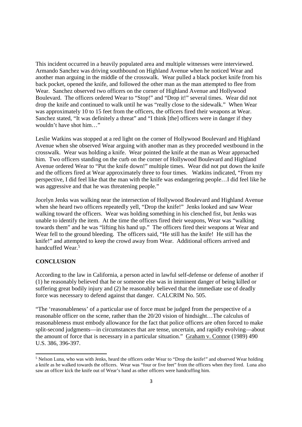This incident occurred in a heavily populated area and multiple witnesses were interviewed. Armando Sanchez was driving southbound on Highland Avenue when he noticed Wear and another man arguing in the middle of the crosswalk. Wear pulled a black pocket knife from his back pocket, opened the knife, and followed the other man as the man attempted to flee from Wear. Sanchez observed two officers on the corner of Highland Avenue and Hollywood Boulevard. The officers ordered Wear to "Stop!" and "Drop it!" several times. Wear did not drop the knife and continued to walk until he was "really close to the sidewalk." When Wear was approximately 10 to 15 feet from the officers, the officers fired their weapons at Wear. Sanchez stated, "It was definitely a threat" and "I think [the] officers were in danger if they wouldn't have shot him…"

Leslie Watkins was stopped at a red light on the corner of Hollywood Boulevard and Highland Avenue when she observed Wear arguing with another man as they proceeded westbound in the crosswalk. Wear was holding a knife. Wear pointed the knife at the man as Wear approached him. Two officers standing on the curb on the corner of Hollywood Boulevard and Highland Avenue ordered Wear to "Put the knife down!" multiple times. Wear did not put down the knife and the officers fired at Wear approximately three to four times. Watkins indicated, "From my perspective, I did feel like that the man with the knife was endangering people…I did feel like he was aggressive and that he was threatening people."

Jocelyn Jenks was walking near the intersection of Hollywood Boulevard and Highland Avenue when she heard two officers repeatedly yell, "Drop the knife!" Jenks looked and saw Wear walking toward the officers. Wear was holding something in his clenched fist, but Jenks was unable to identify the item. At the time the officers fired their weapons, Wear was "walking towards them" and he was "lifting his hand up." The officers fired their weapons at Wear and Wear fell to the ground bleeding. The officers said, "He still has the knife! He still has the knife!" and attempted to keep the crowd away from Wear. Additional officers arrived and handcuffed Wear<sup>5</sup>

## **CONCLUSION**

According to the law in California, a person acted in lawful self-defense or defense of another if (1) he reasonably believed that he or someone else was in imminent danger of being killed or suffering great bodily injury and (2) he reasonably believed that the immediate use of deadly force was necessary to defend against that danger. CALCRIM No. 505.

"The 'reasonableness' of a particular use of force must be judged from the perspective of a reasonable officer on the scene, rather than the 20/20 vision of hindsight…The calculus of reasonableness must embody allowance for the fact that police officers are often forced to make split-second judgments—in circumstances that are tense, uncertain, and rapidly evolving—about the amount of force that is necessary in a particular situation." Graham v. Connor (1989) 490 U.S. 386, 396-397.

<sup>&</sup>lt;sup>5</sup> Nelson Luna, who was with Jenks, heard the officers order Wear to "Drop the knife!" and observed Wear holding a knife as he walked towards the officers. Wear was "four or five feet" from the officers when they fired. Luna also saw an officer kick the knife out of Wear's hand as other officers were handcuffing him.